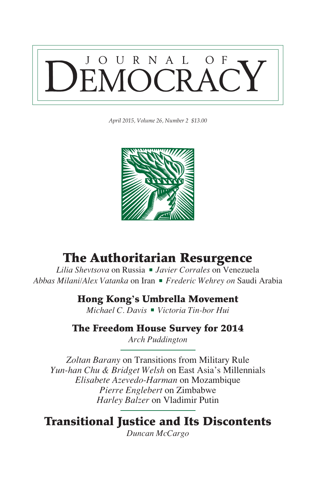# JOURNAL OF

*April 2015, Volume 26, Number 2 \$13.00*



# The Authoritarian Resurgence

*Lilia Shevtsova* on Russia *Javier Corrales* on Venezuela *Abbas Milani/Alex Vatanka* on Iran *Frederic Wehrey on* Saudi Arabia

## Hong Kong**'**s Umbrella Movement

*Michael C. Davis* • Victoria Tin-bor Hui

### The Freedom House Survey for 2014

*Arch Puddington*

*Zoltan Barany* on Transitions from Military Rule *Yun-han Chu & Bridget Welsh* on East Asia's Millennials *Elisabete Azevedo-Harman* on Mozambique *Pierre Englebert* on Zimbabwe *Harley Balzer* on Vladimir Putin

## Transitional Justice and Its Discontents

*Duncan McCargo*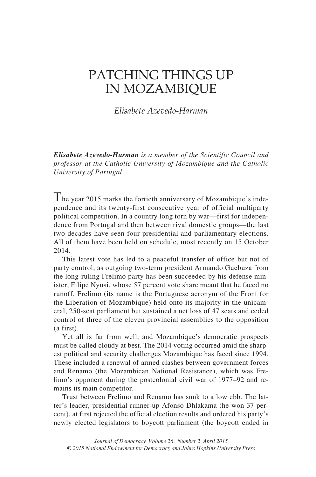## PATCHING THINGS UP in Mozambique

*Elisabete Azevedo-Harman*

*Elisabete Azevedo-Harman is a member of the Scientific Council and professor at the Catholic University of Mozambique and the Catholic University of Portugal.* 

 $T$ he year 2015 marks the fortieth anniversary of Mozambique's independence and its twenty-first consecutive year of official multiparty political competition. In a country long torn by war—first for independence from Portugal and then between rival domestic groups—the last two decades have seen four presidential and parliamentary elections. All of them have been held on schedule, most recently on 15 October 2014.

This latest vote has led to a peaceful transfer of office but not of party control, as outgoing two-term president Armando Guebuza from the long-ruling Frelimo party has been succeeded by his defense minister, Filipe Nyusi, whose 57 percent vote share meant that he faced no runoff. Frelimo (its name is the Portuguese acronym of the Front for the Liberation of Mozambique) held onto its majority in the unicameral, 250-seat parliament but sustained a net loss of 47 seats and ceded control of three of the eleven provincial assemblies to the opposition (a first).

Yet all is far from well, and Mozambique's democratic prospects must be called cloudy at best. The 2014 voting occurred amid the sharpest political and security challenges Mozambique has faced since 1994. These included a renewal of armed clashes between government forces and Renamo (the Mozambican National Resistance), which was Frelimo's opponent during the postcolonial civil war of 1977–92 and remains its main competitor.

Trust between Frelimo and Renamo has sunk to a low ebb. The latter's leader, presidential runner-up Afonso Dhlakama (he won 37 percent), at first rejected the official election results and ordered his party's newly elected legislators to boycott parliament (the boycott ended in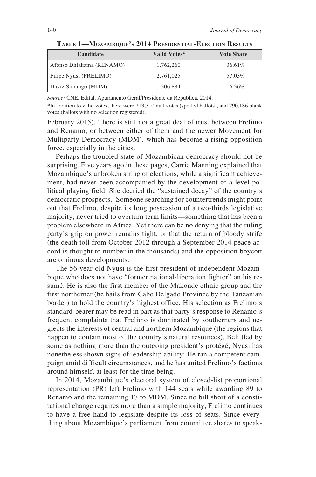| Candidate                | Valid Votes* | <b>Vote Share</b> |  |  |
|--------------------------|--------------|-------------------|--|--|
| Afonso Dhlakama (RENAMO) | 1.762.260    | 36.61%            |  |  |
| Filipe Nyusi (FRELIMO)   | 2,761,025    | 57.03%            |  |  |
| Daviz Simango (MDM)      | 306,884      | 6.36%             |  |  |

**Table 1—Mozambique's 2014 Presidential-Election Results**

*Source:* CNE, Edital, Apuramento Geral/Presidente da Republica, 2014.

\*In addition to valid votes, there were 213,310 null votes (spoiled ballots), and 290,186 blank votes (ballots with no selection registered).

February 2015). There is still not a great deal of trust between Frelimo and Renamo, or between either of them and the newer Movement for Multiparty Democracy (MDM), which has become a rising opposition force, especially in the cities.

Perhaps the troubled state of Mozambican democracy should not be surprising. Five years ago in these pages, Carrie Manning explained that Mozambique's unbroken string of elections, while a significant achievement, had never been accompanied by the development of a level political playing field. She decried the "sustained decay" of the country's democratic prospects.<sup>1</sup> Someone searching for countertrends might point out that Frelimo, despite its long possession of a two-thirds legislative majority, never tried to overturn term limits—something that has been a problem elsewhere in Africa. Yet there can be no denying that the ruling party's grip on power remains tight, or that the return of bloody strife (the death toll from October 2012 through a September 2014 peace accord is thought to number in the thousands) and the opposition boycott are ominous developments.

The 56-year-old Nyusi is the first president of independent Mozambique who does not have "former national-liberation fighter" on his resumé. He is also the first member of the Makonde ethnic group and the first northerner (he hails from Cabo Delgado Province by the Tanzanian border) to hold the country's highest office. His selection as Frelimo's standard-bearer may be read in part as that party's response to Renamo's frequent complaints that Frelimo is dominated by southerners and neglects the interests of central and northern Mozambique (the regions that happen to contain most of the country's natural resources). Belittled by some as nothing more than the outgoing president's protégé, Nyusi has nonetheless shown signs of leadership ability: He ran a competent campaign amid difficult circumstances, and he has united Frelimo's factions around himself, at least for the time being.

In 2014, Mozambique's electoral system of closed-list proportional representation (PR) left Frelimo with 144 seats while awarding 89 to Renamo and the remaining 17 to MDM. Since no bill short of a constitutional change requires more than a simple majority, Frelimo continues to have a free hand to legislate despite its loss of seats. Since everything about Mozambique's parliament from committee shares to speak-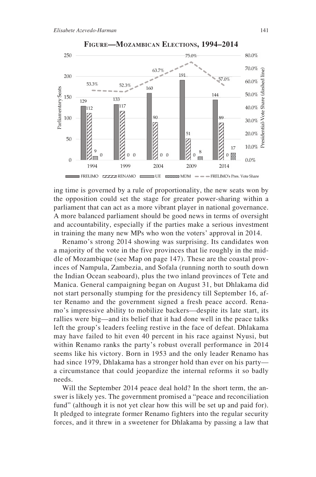

ing time is governed by a rule of proportionality, the new seats won by the opposition could set the stage for greater power-sharing within a parliament that can act as a more vibrant player in national governance. A more balanced parliament should be good news in terms of oversight and accountability, especially if the parties make a serious investment

in training the many new MPs who won the voters' approval in 2014.

Renamo's strong 2014 showing was surprising. Its candidates won a majority of the vote in the five provinces that lie roughly in the middle of Mozambique (see Map on page 147). These are the coastal provinces of Nampula, Zambezia, and Sofala (running north to south down the Indian Ocean seaboard), plus the two inland provinces of Tete and Manica. General campaigning began on August 31, but Dhlakama did not start personally stumping for the presidency till September 16, after Renamo and the government signed a fresh peace accord. Renamo's impressive ability to mobilize backers—despite its late start, its rallies were big—and its belief that it had done well in the peace talks left the group's leaders feeling restive in the face of defeat. Dhlakama may have failed to hit even 40 percent in his race against Nyusi, but within Renamo ranks the party's robust overall performance in 2014 seems like his victory. Born in 1953 and the only leader Renamo has had since 1979, Dhlakama has a stronger hold than ever on his party a circumstance that could jeopardize the internal reforms it so badly needs.

Will the September 2014 peace deal hold? In the short term, the answer is likely yes. The government promised a "peace and reconciliation fund" (although it is not yet clear how this will be set up and paid for). It pledged to integrate former Renamo fighters into the regular security forces, and it threw in a sweetener for Dhlakama by passing a law that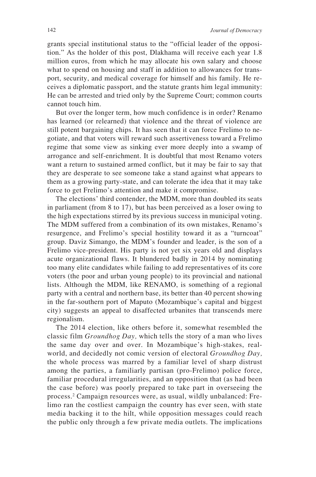grants special institutional status to the "official leader of the opposition." As the holder of this post, Dlakhama will receive each year 1.8 million euros, from which he may allocate his own salary and choose what to spend on housing and staff in addition to allowances for transport, security, and medical coverage for himself and his family. He receives a diplomatic passport, and the statute grants him legal immunity: He can be arrested and tried only by the Supreme Court; common courts cannot touch him.

But over the longer term, how much confidence is in order? Renamo has learned (or relearned) that violence and the threat of violence are still potent bargaining chips. It has seen that it can force Frelimo to negotiate, and that voters will reward such assertiveness toward a Frelimo regime that some view as sinking ever more deeply into a swamp of arrogance and self-enrichment. It is doubtful that most Renamo voters want a return to sustained armed conflict, but it may be fair to say that they are desperate to see someone take a stand against what appears to them as a growing party-state, and can tolerate the idea that it may take force to get Frelimo's attention and make it compromise.

The elections' third contender, the MDM, more than doubled its seats in parliament (from 8 to 17), but has been perceived as a loser owing to the high expectations stirred by its previous success in municipal voting. The MDM suffered from a combination of its own mistakes, Renamo's resurgence, and Frelimo's special hostility toward it as a "turncoat" group. Daviz Simango, the MDM's founder and leader, is the son of a Frelimo vice-president. His party is not yet six years old and displays acute organizational flaws. It blundered badly in 2014 by nominating too many elite candidates while failing to add representatives of its core voters (the poor and urban young people) to its provincial and national lists. Although the MDM, like RENAMO, is something of a regional party with a central and northern base, its better than 40 percent showing in the far-southern port of Maputo (Mozambique's capital and biggest city) suggests an appeal to disaffected urbanites that transcends mere regionalism.

The 2014 election, like others before it, somewhat resembled the classic film *Groundhog Day,* which tells the story of a man who lives the same day over and over. In Mozambique's high-stakes, realworld, and decidedly not comic version of electoral *Groundhog Day,*  the whole process was marred by a familiar level of sharp distrust among the parties, a familiarly partisan (pro-Frelimo) police force, familiar procedural irregularities, and an opposition that (as had been the case before) was poorly prepared to take part in overseeing the process.2 Campaign resources were, as usual, wildly unbalanced: Frelimo ran the costliest campaign the country has ever seen, with state media backing it to the hilt, while opposition messages could reach the public only through a few private media outlets. The implications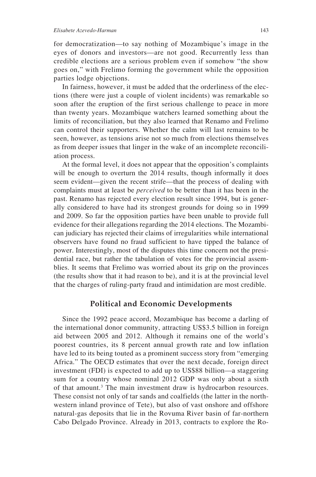for democratization—to say nothing of Mozambique's image in the eyes of donors and investors—are not good. Recurrently less than credible elections are a serious problem even if somehow "the show goes on," with Frelimo forming the government while the opposition parties lodge objections.

In fairness, however, it must be added that the orderliness of the elections (there were just a couple of violent incidents) was remarkable so soon after the eruption of the first serious challenge to peace in more than twenty years. Mozambique watchers learned something about the limits of reconciliation, but they also learned that Renamo and Frelimo can control their supporters. Whether the calm will last remains to be seen, however, as tensions arise not so much from elections themselves as from deeper issues that linger in the wake of an incomplete reconciliation process.

At the formal level, it does not appear that the opposition's complaints will be enough to overturn the 2014 results, though informally it does seem evident—given the recent strife—that the process of dealing with complaints must at least be *perceived* to be better than it has been in the past. Renamo has rejected every election result since 1994, but is generally considered to have had its strongest grounds for doing so in 1999 and 2009. So far the opposition parties have been unable to provide full evidence for their allegations regarding the 2014 elections. The Mozambican judiciary has rejected their claims of irregularities while international observers have found no fraud sufficient to have tipped the balance of power. Interestingly, most of the disputes this time concern not the presidential race, but rather the tabulation of votes for the provincial assemblies. It seems that Frelimo was worried about its grip on the provinces (the results show that it had reason to be), and it is at the provincial level that the charges of ruling-party fraud and intimidation are most credible.

#### **Political and Economic Developments**

Since the 1992 peace accord, Mozambique has become a darling of the international donor community, attracting US\$3.5 billion in foreign aid between 2005 and 2012. Although it remains one of the world's poorest countries, its 8 percent annual growth rate and low inflation have led to its being touted as a prominent success story from "emerging Africa." The OECD estimates that over the next decade, foreign direct investment (FDI) is expected to add up to US\$88 billion—a staggering sum for a country whose nominal 2012 GDP was only about a sixth of that amount.<sup>3</sup> The main investment draw is hydrocarbon resources. These consist not only of tar sands and coalfields (the latter in the northwestern inland province of Tete), but also of vast onshore and offshore natural-gas deposits that lie in the Rovuma River basin of far-northern Cabo Delgado Province. Already in 2013, contracts to explore the Ro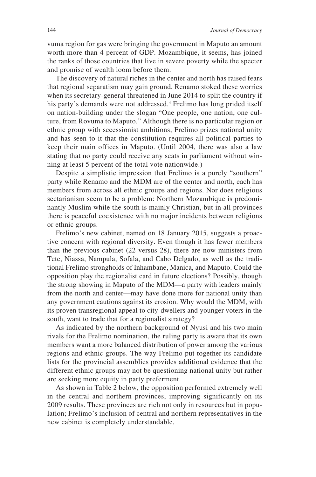vuma region for gas were bringing the government in Maputo an amount worth more than 4 percent of GDP. Mozambique, it seems, has joined the ranks of those countries that live in severe poverty while the specter and promise of wealth loom before them.

The discovery of natural riches in the center and north has raised fears that regional separatism may gain ground. Renamo stoked these worries when its secretary-general threatened in June 2014 to split the country if his party's demands were not addressed.<sup>4</sup> Frelimo has long prided itself on nation-building under the slogan "One people, one nation, one culture, from Rovuma to Maputo." Although there is no particular region or ethnic group with secessionist ambitions, Frelimo prizes national unity and has seen to it that the constitution requires all political parties to keep their main offices in Maputo. (Until 2004, there was also a law stating that no party could receive any seats in parliament without winning at least 5 percent of the total vote nationwide.)

Despite a simplistic impression that Frelimo is a purely "southern" party while Renamo and the MDM are of the center and north, each has members from across all ethnic groups and regions. Nor does religious sectarianism seem to be a problem: Northern Mozambique is predominantly Muslim while the south is mainly Christian, but in all provinces there is peaceful coexistence with no major incidents between religions or ethnic groups.

Frelimo's new cabinet, named on 18 January 2015, suggests a proactive concern with regional diversity. Even though it has fewer members than the previous cabinet (22 versus 28), there are now ministers from Tete, Niassa, Nampula, Sofala, and Cabo Delgado, as well as the traditional Frelimo strongholds of Inhambane, Manica, and Maputo. Could the opposition play the regionalist card in future elections? Possibly, though the strong showing in Maputo of the MDM—a party with leaders mainly from the north and center—may have done more for national unity than any government cautions against its erosion. Why would the MDM, with its proven transregional appeal to city-dwellers and younger voters in the south, want to trade that for a regionalist strategy?

As indicated by the northern background of Nyusi and his two main rivals for the Frelimo nomination, the ruling party is aware that its own members want a more balanced distribution of power among the various regions and ethnic groups. The way Frelimo put together its candidate lists for the provincial assemblies provides additional evidence that the different ethnic groups may not be questioning national unity but rather are seeking more equity in party preferment.

As shown in Table 2 below, the opposition performed extremely well in the central and northern provinces, improving significantly on its 2009 results. These provinces are rich not only in resources but in population; Frelimo's inclusion of central and northern representatives in the new cabinet is completely understandable.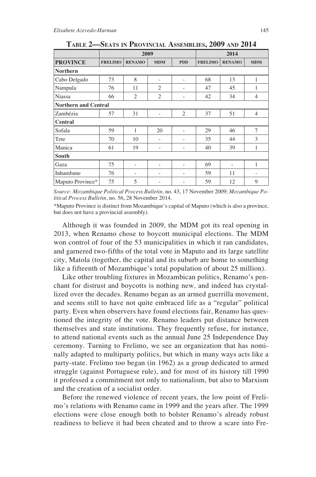|                             | 2009           |                              |                |                          | 2014           |               |                |  |  |
|-----------------------------|----------------|------------------------------|----------------|--------------------------|----------------|---------------|----------------|--|--|
| <b>PROVINCE</b>             | <b>FRELIMO</b> | <b>RENAMO</b>                | <b>MDM</b>     | <b>PDD</b>               | <b>FRELIMO</b> | <b>RENAMO</b> | <b>MDM</b>     |  |  |
| Northern                    |                |                              |                |                          |                |               |                |  |  |
| Cabo Delgado                | 73             | 8                            | ٠              |                          | 68             | 13            | 1              |  |  |
| Nampula                     | 76             | 11                           | $\overline{2}$ | -                        | 47             | 45            | 1              |  |  |
| Niassa                      | 66             | $\overline{2}$               | $\overline{2}$ | ۰                        | 42             | 34            | $\overline{4}$ |  |  |
| <b>Northern and Central</b> |                |                              |                |                          |                |               |                |  |  |
| Zambézia                    | 57             | 31                           | ۰              | $\overline{2}$           | 37             | 51            | $\overline{4}$ |  |  |
| Central                     |                |                              |                |                          |                |               |                |  |  |
| Sofala                      | 59             | 1                            | 20             | ٠                        | 29             | 46            | 7              |  |  |
| Tete                        | 70             | 10                           | ٠              | ٠                        | 35             | 44            | 3              |  |  |
| Manica                      | 61             | 19                           | ٠              | $\overline{\phantom{a}}$ | 40             | 39            | 1              |  |  |
| South                       |                |                              |                |                          |                |               |                |  |  |
| Gaza                        | 75             | ٠                            | ٠              | ٠                        | 69             | ٠             | 1              |  |  |
| Inhambane                   | 76             | $\qquad \qquad \blacksquare$ | ٠              | ٠                        | 59             | 11            | ٠              |  |  |
| Maputo Province*            | 75             | 5                            | ۰              | ۰                        | 59             | 12            | 9              |  |  |

**Table 2—Seats in Provincial Assemblies, 2009 and 2014**

*Source: Mozambique Political Process Bulletin,* no. 43, 17 November 2009; *Mozambique Political Process Bulletin,* no. 56, 28 November 2014.

*\**Maputo Province is distinct from Mozambique's capital of Maputo (which is also a province, but does not have a provincial assembly).

Although it was founded in 2009, the MDM got its real opening in 2013, when Renamo chose to boycott municipal elections. The MDM won control of four of the 53 municipalities in which it ran candidates, and garnered two-fifths of the total vote in Maputo and its large satellite city, Matola (together, the capital and its suburb are home to something like a fifteenth of Mozambique's total population of about 25 million).

Like other troubling fixtures in Mozambican politics, Renamo's penchant for distrust and boycotts is nothing new, and indeed has crystallized over the decades. Renamo began as an armed guerrilla movement, and seems still to have not quite embraced life as a "regular" political party. Even when observers have found elections fair, Renamo has questioned the integrity of the vote. Renamo leaders put distance between themselves and state institutions. They frequently refuse, for instance, to attend national events such as the annual June 25 Independence Day ceremony. Turning to Frelimo, we see an organization that has nominally adapted to multiparty politics, but which in many ways acts like a party-state. Frelimo too began (in 1962) as a group dedicated to armed struggle (against Portuguese rule), and for most of its history till 1990 it professed a commitment not only to nationalism, but also to Marxism and the creation of a socialist order.

Before the renewed violence of recent years, the low point of Frelimo's relations with Renamo came in 1999 and the years after. The 1999 elections were close enough both to bolster Renamo's already robust readiness to believe it had been cheated and to throw a scare into Fre-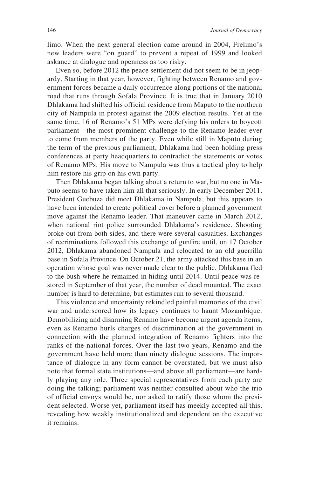limo. When the next general election came around in 2004, Frelimo's new leaders were "on guard" to prevent a repeat of 1999 and looked askance at dialogue and openness as too risky.

Even so, before 2012 the peace settlement did not seem to be in jeopardy. Starting in that year, however, fighting between Renamo and government forces became a daily occurrence along portions of the national road that runs through Sofala Province. It is true that in January 2010 Dhlakama had shifted his official residence from Maputo to the northern city of Nampula in protest against the 2009 election results. Yet at the same time, 16 of Renamo's 51 MPs were defying his orders to boycott parliament—the most prominent challenge to the Renamo leader ever to come from members of the party. Even while still in Maputo during the term of the previous parliament, Dhlakama had been holding press conferences at party headquarters to contradict the statements or votes of Renamo MPs. His move to Nampula was thus a tactical ploy to help him restore his grip on his own party.

Then Dhlakama began talking about a return to war, but no one in Maputo seems to have taken him all that seriously. In early December 2011, President Guebuza did meet Dhlakama in Nampula, but this appears to have been intended to create political cover before a planned government move against the Renamo leader. That maneuver came in March 2012, when national riot police surrounded Dhlakama's residence. Shooting broke out from both sides, and there were several casualties. Exchanges of recriminations followed this exchange of gunfire until, on 17 October 2012, Dhlakama abandoned Nampula and relocated to an old guerrilla base in Sofala Province. On October 21, the army attacked this base in an operation whose goal was never made clear to the public. Dhlakama fled to the bush where he remained in hiding until 2014. Until peace was restored in September of that year, the number of dead mounted. The exact number is hard to determine, but estimates run to several thousand.

This violence and uncertainty rekindled painful memories of the civil war and underscored how its legacy continues to haunt Mozambique. Demobilizing and disarming Renamo have become urgent agenda items, even as Renamo hurls charges of discrimination at the government in connection with the planned integration of Renamo fighters into the ranks of the national forces. Over the last two years, Renamo and the government have held more than ninety dialogue sessions. The importance of dialogue in any form cannot be overstated, but we must also note that formal state institutions—and above all parliament—are hardly playing any role. Three special representatives from each party are doing the talking; parliament was neither consulted about who the trio of official envoys would be, nor asked to ratify those whom the president selected. Worse yet, parliament itself has meekly accepted all this, revealing how weakly institutionalized and dependent on the executive it remains.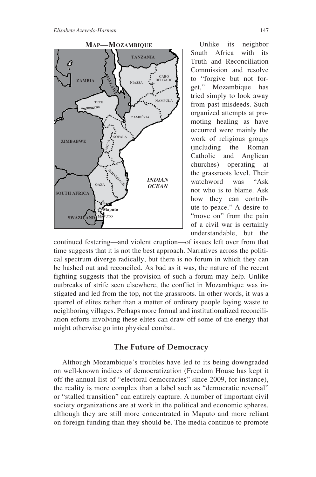

Unlike its neighbor South Africa with its Truth and Reconciliation Commission and resolve to "forgive but not forget," Mozambique has tried simply to look away from past misdeeds. Such organized attempts at promoting healing as have occurred were mainly the work of religious groups (including the Roman Catholic and Anglican churches) operating at the grassroots level. Their watchword was "Ask not who is to blame. Ask how they can contribute to peace." A desire to "move on" from the pain of a civil war is certainly understandable, but the

continued festering—and violent eruption—of issues left over from that time suggests that it is not the best approach. Narratives across the political spectrum diverge radically, but there is no forum in which they can be hashed out and reconciled. As bad as it was, the nature of the recent fighting suggests that the provision of such a forum may help. Unlike outbreaks of strife seen elsewhere, the conflict in Mozambique was instigated and led from the top, not the grassroots. In other words, it was a quarrel of elites rather than a matter of ordinary people laying waste to neighboring villages. Perhaps more formal and institutionalized reconciliation efforts involving these elites can draw off some of the energy that might otherwise go into physical combat.

#### **The Future of Democracy**

Although Mozambique's troubles have led to its being downgraded on well-known indices of democratization (Freedom House has kept it off the annual list of "electoral democracies" since 2009, for instance), the reality is more complex than a label such as "democratic reversal" or "stalled transition" can entirely capture. A number of important civil society organizations are at work in the political and economic spheres, although they are still more concentrated in Maputo and more reliant on foreign funding than they should be. The media continue to promote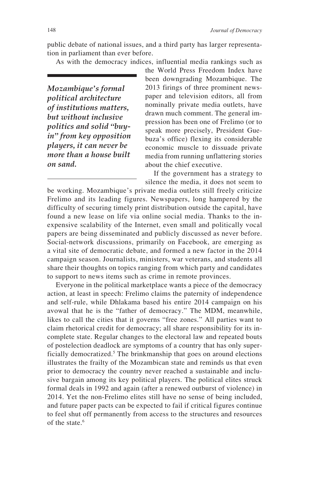public debate of national issues, and a third party has larger representation in parliament than ever before.

As with the democracy indices, influential media rankings such as

*Mozambique's formal political architecture of institutions matters, but without inclusive politics and solid "buyin" from key opposition players, it can never be more than a house built on sand.*

the World Press Freedom Index have been downgrading Mozambique. The 2013 firings of three prominent newspaper and television editors, all from nominally private media outlets, have drawn much comment. The general impression has been one of Frelimo (or to speak more precisely, President Guebuza's office) flexing its considerable economic muscle to dissuade private media from running unflattering stories about the chief executive.

If the government has a strategy to silence the media, it does not seem to

be working. Mozambique's private media outlets still freely criticize Frelimo and its leading figures. Newspapers, long hampered by the difficulty of securing timely print distribution outside the capital, have found a new lease on life via online social media. Thanks to the inexpensive scalability of the Internet, even small and politically vocal papers are being disseminated and publicly discussed as never before. Social-network discussions, primarily on Facebook, are emerging as a vital site of democratic debate, and formed a new factor in the 2014 campaign season. Journalists, ministers, war veterans, and students all share their thoughts on topics ranging from which party and candidates to support to news items such as crime in remote provinces.

Everyone in the political marketplace wants a piece of the democracy action, at least in speech: Frelimo claims the paternity of independence and self-rule, while Dhlakama based his entire 2014 campaign on his avowal that he is the "father of democracy." The MDM, meanwhile, likes to call the cities that it governs "free zones." All parties want to claim rhetorical credit for democracy; all share responsibility for its incomplete state. Regular changes to the electoral law and repeated bouts of postelection deadlock are symptoms of a country that has only superficially democratized.<sup>5</sup> The brinkmanship that goes on around elections illustrates the frailty of the Mozambican state and reminds us that even prior to democracy the country never reached a sustainable and inclusive bargain among its key political players. The political elites struck formal deals in 1992 and again (after a renewed outburst of violence) in 2014. Yet the non-Frelimo elites still have no sense of being included, and future paper pacts can be expected to fail if critical figures continue to feel shut off permanently from access to the structures and resources of the state.<sup>6</sup>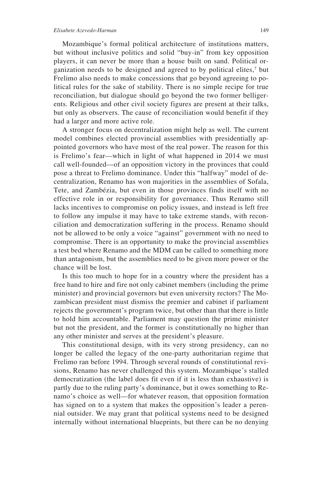Mozambique's formal political architecture of institutions matters, but without inclusive politics and solid "buy-in" from key opposition players, it can never be more than a house built on sand. Political organization needs to be designed and agreed to by political elites,7 but Frelimo also needs to make concessions that go beyond agreeing to political rules for the sake of stability. There is no simple recipe for true reconciliation, but dialogue should go beyond the two former belligerents. Religious and other civil society figures are present at their talks, but only as observers. The cause of reconciliation would benefit if they had a larger and more active role.

A stronger focus on decentralization might help as well. The current model combines elected provincial assemblies with presidentially appointed governors who have most of the real power. The reason for this is Frelimo's fear—which in light of what happened in 2014 we must call well-founded—of an opposition victory in the provinces that could pose a threat to Frelimo dominance. Under this "halfway" model of decentralization, Renamo has won majorities in the assemblies of Sofala, Tete, and Zambézia, but even in those provinces finds itself with no effective role in or responsibility for governance. Thus Renamo still lacks incentives to compromise on policy issues, and instead is left free to follow any impulse it may have to take extreme stands, with reconciliation and democratization suffering in the process. Renamo should not be allowed to be only a voice "against" government with no need to compromise. There is an opportunity to make the provincial assemblies a test bed where Renamo and the MDM can be called to something more than antagonism, but the assemblies need to be given more power or the chance will be lost.

Is this too much to hope for in a country where the president has a free hand to hire and fire not only cabinet members (including the prime minister) and provincial governors but even university rectors? The Mozambican president must dismiss the premier and cabinet if parliament rejects the government's program twice, but other than that there is little to hold him accountable. Parliament may question the prime minister but not the president, and the former is constitutionally no higher than any other minister and serves at the president's pleasure.

This constitutional design, with its very strong presidency, can no longer be called the legacy of the one-party authoritarian regime that Frelimo ran before 1994. Through several rounds of constitutional revisions, Renamo has never challenged this system. Mozambique's stalled democratization (the label does fit even if it is less than exhaustive) is partly due to the ruling party's dominance, but it owes something to Renamo's choice as well—for whatever reason, that opposition formation has signed on to a system that makes the opposition's leader a perennial outsider. We may grant that political systems need to be designed internally without international blueprints, but there can be no denying